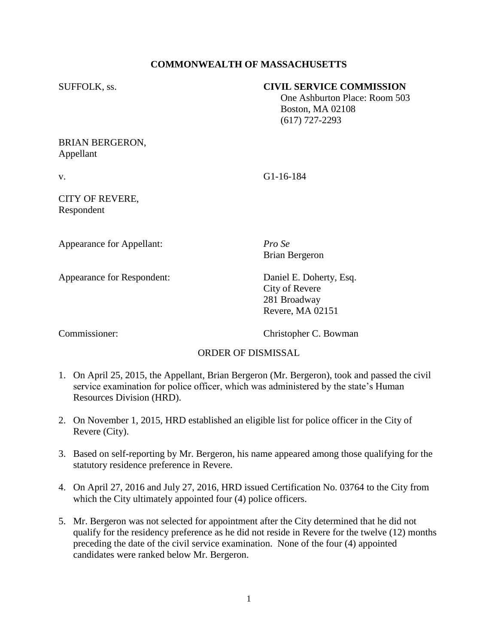# **COMMONWEALTH OF MASSACHUSETTS**

### SUFFOLK, ss. **CIVIL SERVICE COMMISSION**

 One Ashburton Place: Room 503 Boston, MA 02108 (617) 727-2293

### BRIAN BERGERON, Appellant

v. G1-16-184

### CITY OF REVERE, Respondent

Appearance for Appellant: *Pro Se*

Appearance for Respondent: Daniel E. Doherty, Esq.

Brian Bergeron

City of Revere 281 Broadway Revere, MA 02151

Commissioner: Christopher C. Bowman

# ORDER OF DISMISSAL

- 1. On April 25, 2015, the Appellant, Brian Bergeron (Mr. Bergeron), took and passed the civil service examination for police officer, which was administered by the state's Human Resources Division (HRD).
- 2. On November 1, 2015, HRD established an eligible list for police officer in the City of Revere (City).
- 3. Based on self-reporting by Mr. Bergeron, his name appeared among those qualifying for the statutory residence preference in Revere.
- 4. On April 27, 2016 and July 27, 2016, HRD issued Certification No. 03764 to the City from which the City ultimately appointed four  $(4)$  police officers.
- 5. Mr. Bergeron was not selected for appointment after the City determined that he did not qualify for the residency preference as he did not reside in Revere for the twelve (12) months preceding the date of the civil service examination. None of the four (4) appointed candidates were ranked below Mr. Bergeron.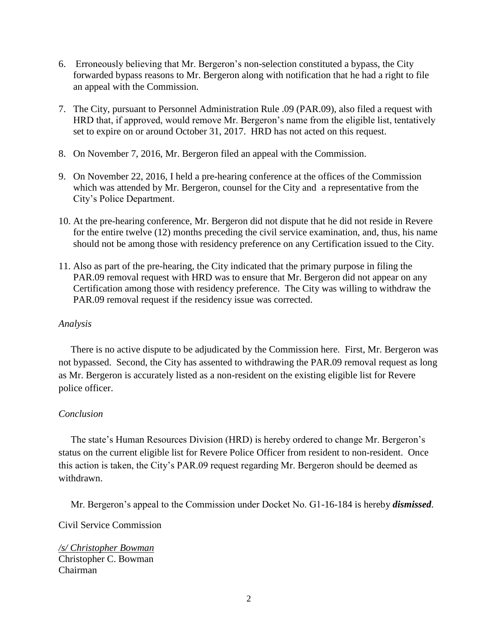- 6. Erroneously believing that Mr. Bergeron's non-selection constituted a bypass, the City forwarded bypass reasons to Mr. Bergeron along with notification that he had a right to file an appeal with the Commission.
- 7. The City, pursuant to Personnel Administration Rule .09 (PAR.09), also filed a request with HRD that, if approved, would remove Mr. Bergeron's name from the eligible list, tentatively set to expire on or around October 31, 2017. HRD has not acted on this request.
- 8. On November 7, 2016, Mr. Bergeron filed an appeal with the Commission.
- 9. On November 22, 2016, I held a pre-hearing conference at the offices of the Commission which was attended by Mr. Bergeron, counsel for the City and a representative from the City's Police Department.
- 10. At the pre-hearing conference, Mr. Bergeron did not dispute that he did not reside in Revere for the entire twelve (12) months preceding the civil service examination, and, thus, his name should not be among those with residency preference on any Certification issued to the City.
- 11. Also as part of the pre-hearing, the City indicated that the primary purpose in filing the PAR.09 removal request with HRD was to ensure that Mr. Bergeron did not appear on any Certification among those with residency preference. The City was willing to withdraw the PAR.09 removal request if the residency issue was corrected.

### *Analysis*

 There is no active dispute to be adjudicated by the Commission here. First, Mr. Bergeron was not bypassed. Second, the City has assented to withdrawing the PAR.09 removal request as long as Mr. Bergeron is accurately listed as a non-resident on the existing eligible list for Revere police officer.

# *Conclusion*

 The state's Human Resources Division (HRD) is hereby ordered to change Mr. Bergeron's status on the current eligible list for Revere Police Officer from resident to non-resident. Once this action is taken, the City's PAR.09 request regarding Mr. Bergeron should be deemed as withdrawn.

Mr. Bergeron's appeal to the Commission under Docket No. G1-16-184 is hereby *dismissed*.

Civil Service Commission

*/s/ Christopher Bowman* Christopher C. Bowman Chairman